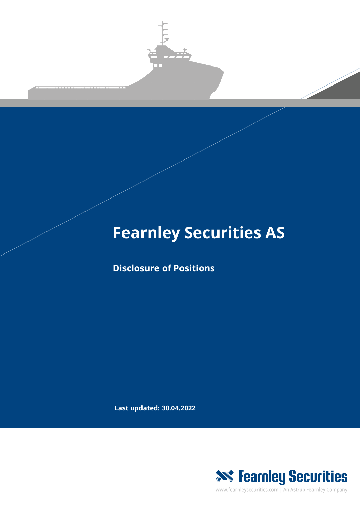

## **Fearnley Securities AS**

**Disclosure of Positions**

**Last updated: 30.04.2022**



www.fearnleysecurities.com | An Astrup Fearnley Company